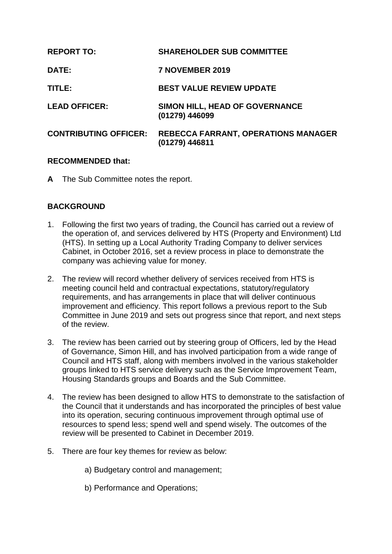| <b>REPORT TO:</b>            | <b>SHAREHOLDER SUB COMMITTEE</b>                             |
|------------------------------|--------------------------------------------------------------|
| DATE:                        | 7 NOVEMBER 2019                                              |
| TITLE:                       | <b>BEST VALUE REVIEW UPDATE</b>                              |
| <b>LEAD OFFICER:</b>         | SIMON HILL, HEAD OF GOVERNANCE<br>(01279) 446099             |
| <b>CONTRIBUTING OFFICER:</b> | <b>REBECCA FARRANT, OPERATIONS MANAGER</b><br>(01279) 446811 |

## **RECOMMENDED that:**

**A** The Sub Committee notes the report.

# **BACKGROUND**

- 1. Following the first two years of trading, the Council has carried out a review of the operation of, and services delivered by HTS (Property and Environment) Ltd (HTS). In setting up a Local Authority Trading Company to deliver services Cabinet, in October 2016, set a review process in place to demonstrate the company was achieving value for money.
- 2. The review will record whether delivery of services received from HTS is meeting council held and contractual expectations, statutory/regulatory requirements, and has arrangements in place that will deliver continuous improvement and efficiency. This report follows a previous report to the Sub Committee in June 2019 and sets out progress since that report, and next steps of the review.
- 3. The review has been carried out by steering group of Officers, led by the Head of Governance, Simon Hill, and has involved participation from a wide range of Council and HTS staff, along with members involved in the various stakeholder groups linked to HTS service delivery such as the Service Improvement Team, Housing Standards groups and Boards and the Sub Committee.
- 4. The review has been designed to allow HTS to demonstrate to the satisfaction of the Council that it understands and has incorporated the principles of best value into its operation, securing continuous improvement through optimal use of resources to spend less; spend well and spend wisely. The outcomes of the review will be presented to Cabinet in December 2019.
- 5. There are four key themes for review as below:
	- a) Budgetary control and management;
	- b) Performance and Operations;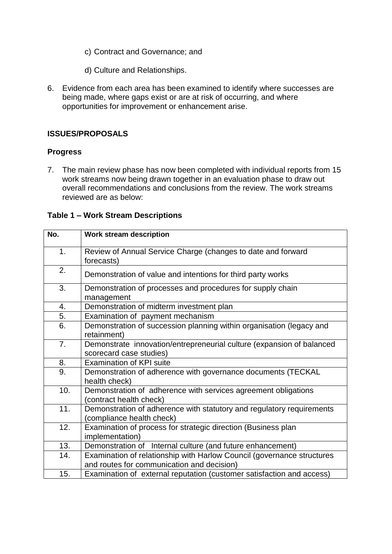- c) Contract and Governance; and
- d) Culture and Relationships.
- 6. Evidence from each area has been examined to identify where successes are being made, where gaps exist or are at risk of occurring, and where opportunities for improvement or enhancement arise.

## **ISSUES/PROPOSALS**

## **Progress**

7. The main review phase has now been completed with individual reports from 15 work streams now being drawn together in an evaluation phase to draw out overall recommendations and conclusions from the review. The work streams reviewed are as below:

#### **Table 1 – Work Stream Descriptions**

| No. | <b>Work stream description</b>                                                                                       |
|-----|----------------------------------------------------------------------------------------------------------------------|
| 1.  | Review of Annual Service Charge (changes to date and forward<br>forecasts)                                           |
| 2.  | Demonstration of value and intentions for third party works                                                          |
| 3.  | Demonstration of processes and procedures for supply chain<br>management                                             |
| 4.  | Demonstration of midterm investment plan                                                                             |
| 5.  | Examination of payment mechanism                                                                                     |
| 6.  | Demonstration of succession planning within organisation (legacy and<br>retainment)                                  |
| 7.  | Demonstrate innovation/entrepreneurial culture (expansion of balanced<br>scorecard case studies)                     |
| 8.  | <b>Examination of KPI suite</b>                                                                                      |
| 9.  | Demonstration of adherence with governance documents (TECKAL<br>health check)                                        |
| 10. | Demonstration of adherence with services agreement obligations<br>(contract health check)                            |
| 11. | Demonstration of adherence with statutory and regulatory requirements<br>(compliance health check)                   |
| 12. | Examination of process for strategic direction (Business plan<br>implementation)                                     |
| 13. | Demonstration of Internal culture (and future enhancement)                                                           |
| 14. | Examination of relationship with Harlow Council (governance structures<br>and routes for communication and decision) |
| 15. | Examination of external reputation (customer satisfaction and access)                                                |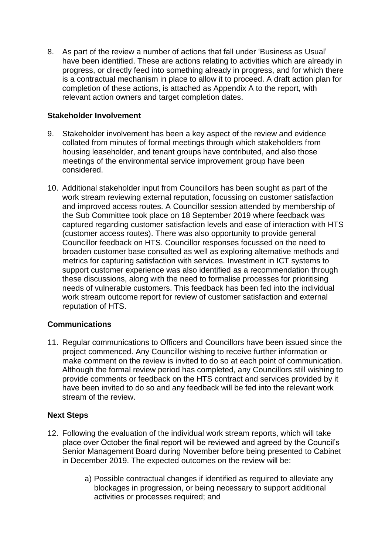8. As part of the review a number of actions that fall under 'Business as Usual' have been identified. These are actions relating to activities which are already in progress, or directly feed into something already in progress, and for which there is a contractual mechanism in place to allow it to proceed. A draft action plan for completion of these actions, is attached as Appendix A to the report, with relevant action owners and target completion dates.

## **Stakeholder Involvement**

- 9. Stakeholder involvement has been a key aspect of the review and evidence collated from minutes of formal meetings through which stakeholders from housing leaseholder, and tenant groups have contributed, and also those meetings of the environmental service improvement group have been considered.
- 10. Additional stakeholder input from Councillors has been sought as part of the work stream reviewing external reputation, focussing on customer satisfaction and improved access routes. A Councillor session attended by membership of the Sub Committee took place on 18 September 2019 where feedback was captured regarding customer satisfaction levels and ease of interaction with HTS (customer access routes). There was also opportunity to provide general Councillor feedback on HTS. Councillor responses focussed on the need to broaden customer base consulted as well as exploring alternative methods and metrics for capturing satisfaction with services. Investment in ICT systems to support customer experience was also identified as a recommendation through these discussions, along with the need to formalise processes for prioritising needs of vulnerable customers. This feedback has been fed into the individual work stream outcome report for review of customer satisfaction and external reputation of HTS.

# **Communications**

11. Regular communications to Officers and Councillors have been issued since the project commenced. Any Councillor wishing to receive further information or make comment on the review is invited to do so at each point of communication. Although the formal review period has completed, any Councillors still wishing to provide comments or feedback on the HTS contract and services provided by it have been invited to do so and any feedback will be fed into the relevant work stream of the review.

# **Next Steps**

- 12. Following the evaluation of the individual work stream reports, which will take place over October the final report will be reviewed and agreed by the Council's Senior Management Board during November before being presented to Cabinet in December 2019. The expected outcomes on the review will be:
	- a) Possible contractual changes if identified as required to alleviate any blockages in progression, or being necessary to support additional activities or processes required; and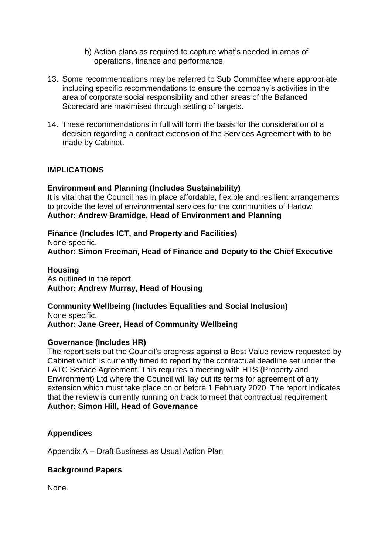- b) Action plans as required to capture what's needed in areas of operations, finance and performance.
- 13. Some recommendations may be referred to Sub Committee where appropriate, including specific recommendations to ensure the company's activities in the area of corporate social responsibility and other areas of the Balanced Scorecard are maximised through setting of targets.
- 14. These recommendations in full will form the basis for the consideration of a decision regarding a contract extension of the Services Agreement with to be made by Cabinet.

## **IMPLICATIONS**

## **Environment and Planning (Includes Sustainability)**

It is vital that the Council has in place affordable, flexible and resilient arrangements to provide the level of environmental services for the communities of Harlow. **Author: Andrew Bramidge, Head of Environment and Planning**

**Finance (Includes ICT, and Property and Facilities)** None specific. **Author: Simon Freeman, Head of Finance and Deputy to the Chief Executive**

#### **Housing**

As outlined in the report. **Author: Andrew Murray, Head of Housing**

**Community Wellbeing (Includes Equalities and Social Inclusion)** None specific. **Author: Jane Greer, Head of Community Wellbeing**

## **Governance (Includes HR)**

The report sets out the Council's progress against a Best Value review requested by Cabinet which is currently timed to report by the contractual deadline set under the LATC Service Agreement. This requires a meeting with HTS (Property and Environment) Ltd where the Council will lay out its terms for agreement of any extension which must take place on or before 1 February 2020. The report indicates that the review is currently running on track to meet that contractual requirement **Author: Simon Hill, Head of Governance**

## **Appendices**

Appendix A – Draft Business as Usual Action Plan

## **Background Papers**

None.